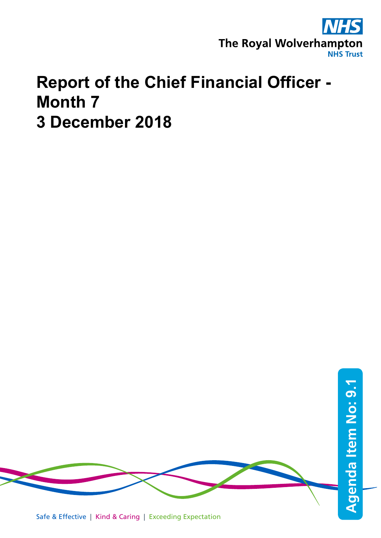

## **Report of the Chief Financial Officer - Month 7 3 December 2018**



Safe & Effective | Kind & Caring | Exceeding Expectation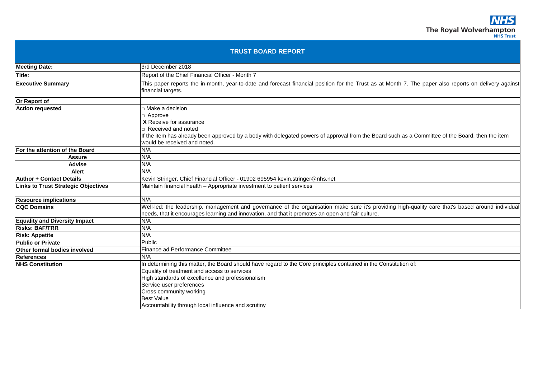|                                            | <b>TRUST BOARD REPORT</b>                                                                                                                                                                                                                                                                                                                                |
|--------------------------------------------|----------------------------------------------------------------------------------------------------------------------------------------------------------------------------------------------------------------------------------------------------------------------------------------------------------------------------------------------------------|
| <b>Meeting Date:</b>                       | 3rd December 2018                                                                                                                                                                                                                                                                                                                                        |
| Title:                                     | Report of the Chief Financial Officer - Month 7                                                                                                                                                                                                                                                                                                          |
| <b>Executive Summary</b>                   | This paper reports the in-month, year-to-date and forecast financial position for the Trust as at Month 7. The paper also reports on delivery against<br>financial targets.                                                                                                                                                                              |
| Or Report of                               |                                                                                                                                                                                                                                                                                                                                                          |
| <b>Action requested</b>                    | $\square$ Make a decision<br>□ Approve<br>X Receive for assurance<br>□ Received and noted<br>If the item has already been approved by a body with delegated powers of approval from the Board such as a Committee of the Board, then the item<br>would be received and noted.                                                                            |
| For the attention of the Board             | N/A                                                                                                                                                                                                                                                                                                                                                      |
| <b>Assure</b>                              | N/A                                                                                                                                                                                                                                                                                                                                                      |
| <b>Advise</b>                              | N/A                                                                                                                                                                                                                                                                                                                                                      |
| <b>Alert</b>                               | N/A                                                                                                                                                                                                                                                                                                                                                      |
| <b>Author + Contact Details</b>            | Kevin Stringer, Chief Financial Officer - 01902 695954 kevin.stringer@nhs.net                                                                                                                                                                                                                                                                            |
| <b>Links to Trust Strategic Objectives</b> | Maintain financial health - Appropriate investment to patient services                                                                                                                                                                                                                                                                                   |
| <b>Resource implications</b>               | N/A                                                                                                                                                                                                                                                                                                                                                      |
| <b>CQC Domains</b>                         | Well-led: the leadership, management and governance of the organisation make sure it's providing high-quality care that's based around individual<br>needs, that it encourages learning and innovation, and that it promotes an open and fair culture.                                                                                                   |
| <b>Equality and Diversity Impact</b>       | N/A                                                                                                                                                                                                                                                                                                                                                      |
| <b>Risks: BAF/TRR</b>                      | N/A                                                                                                                                                                                                                                                                                                                                                      |
| <b>Risk: Appetite</b>                      | N/A                                                                                                                                                                                                                                                                                                                                                      |
| <b>Public or Private</b>                   | Public                                                                                                                                                                                                                                                                                                                                                   |
| <b>Other formal bodies involved</b>        | Finance ad Performance Committee                                                                                                                                                                                                                                                                                                                         |
| References                                 | N/A                                                                                                                                                                                                                                                                                                                                                      |
| <b>NHS Constitution</b>                    | In determining this matter, the Board should have regard to the Core principles contained in the Constitution of:<br>Equality of treatment and access to services<br>High standards of excellence and professionalism<br>Service user preferences<br>Cross community working<br><b>Best Value</b><br>Accountability through local influence and scrutiny |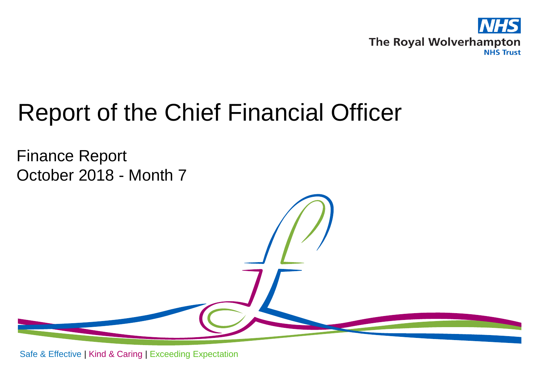

# Report of the Chief Financial Officer

Finance Report October 2018 - Month 7

Safe & Effective | Kind & Caring | Exceeding Expectation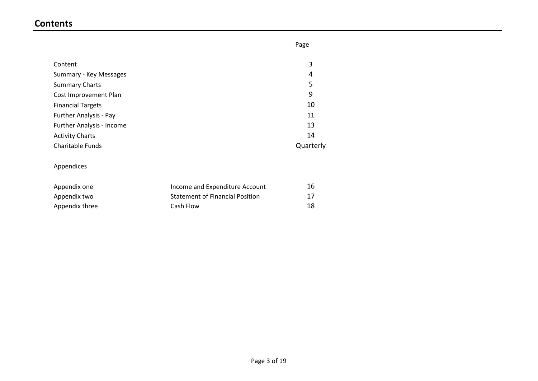## **Contents**

|                                  | Page      |
|----------------------------------|-----------|
|                                  |           |
| Content                          | 3         |
| Summary - Key Messages           | 4         |
| <b>Summary Charts</b>            | 5         |
| Cost Improvement Plan            | 9         |
| <b>Financial Targets</b>         | 10        |
| Further Analysis - Pay           | 11        |
| <b>Further Analysis - Income</b> | 13        |
| <b>Activity Charts</b>           | 14        |
| <b>Charitable Funds</b>          | Quarterly |

## Appendices

| Appendix one   | Income and Expenditure Account         | 16 |
|----------------|----------------------------------------|----|
| Appendix two   | <b>Statement of Financial Position</b> | 17 |
| Appendix three | Cash Flow                              | 18 |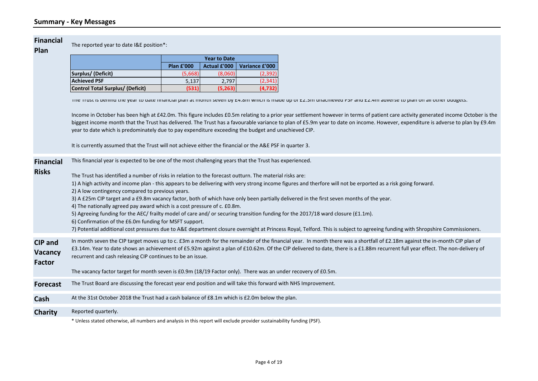#### **Financial**

The reported year to date I&E position\*:

|                                  |                   | <b>Year to Date</b> |                |
|----------------------------------|-------------------|---------------------|----------------|
|                                  | <b>Plan £'000</b> | <b>Actual £'000</b> | Variance £'000 |
| Surplus/ (Deficit)               | (5,668)           | (8,060)             | (2, 392)       |
| <b>Achieved PSF</b>              | 5.137             | 2.797               | (2.341)        |
| Control Total Surplus/ (Deficit) | (531)             | (5,263)             | (4, 732)       |

The Trust is behind the year to date financial plan at month seven by £4.8m which is made up of £2.3m unachieved PSF and £2.4m adverse to plan on all other budgets.

Income in October has been high at £42.0m. This figure includes £0.5m relating to a prior year settlement however in terms of patient care activity generated income October is the biggest income month that the Trust has delivered. The Trust has a favourable variance to plan of £5.9m year to date on income. However, expenditure is adverse to plan by £9.4m year to date which is predominately due to pay expenditure exceeding the budget and unachieved CIP.

It is currently assumed that the Trust will not achieve either the financial or the A&E PSF in quarter 3.

| <b>Financial</b><br><b>Risks</b>    | This financial year is expected to be one of the most challenging years that the Trust has experienced.<br>The Trust has identified a number of risks in relation to the forecast outturn. The material risks are:<br>1) A high activity and income plan - this appears to be delivering with very strong income figures and therfore will not be erported as a risk going forward.<br>2) A low contingency compared to previous years.<br>3) A £25m CIP target and a £9.8m vacancy factor, both of which have only been partially delivered in the first seven months of the year.<br>4) The nationally agreed pay award which is a cost pressure of c. £0.8m.<br>5) Agreeing funding for the AEC/ frailty model of care and/ or securing transition funding for the 2017/18 ward closure (£1.1m).<br>6) Confirmation of the £6.0m funding for MSFT support.<br>7) Potential additional cost pressures due to A&E department closure overnight at Princess Royal, Telford. This is subject to agreeing funding with Shropshire Commissioners. |
|-------------------------------------|------------------------------------------------------------------------------------------------------------------------------------------------------------------------------------------------------------------------------------------------------------------------------------------------------------------------------------------------------------------------------------------------------------------------------------------------------------------------------------------------------------------------------------------------------------------------------------------------------------------------------------------------------------------------------------------------------------------------------------------------------------------------------------------------------------------------------------------------------------------------------------------------------------------------------------------------------------------------------------------------------------------------------------------------|
| CIP and<br><b>Vacancy</b><br>Factor | In month seven the CIP target moves up to c. £3m a month for the remainder of the financial year. In month there was a shortfall of £2.18m against the in-month CIP plan of<br>£3.14m. Year to date shows an achievement of £5.92m against a plan of £10.62m. Of the CIP delivered to date, there is a £1.88m recurrent full year effect. The non-delivery of<br>recurrent and cash releasing CIP continues to be an issue.<br>The vacancy factor target for month seven is £0.9m (18/19 Factor only). There was an under recovery of £0.5m.                                                                                                                                                                                                                                                                                                                                                                                                                                                                                                   |
| <b>Forecast</b>                     | The Trust Board are discussing the forecast year end position and will take this forward with NHS Improvement.                                                                                                                                                                                                                                                                                                                                                                                                                                                                                                                                                                                                                                                                                                                                                                                                                                                                                                                                 |
| Cash                                | At the 31st October 2018 the Trust had a cash balance of £8.1m which is £2.0m below the plan.                                                                                                                                                                                                                                                                                                                                                                                                                                                                                                                                                                                                                                                                                                                                                                                                                                                                                                                                                  |
| <b>Charity</b>                      | Reported quarterly.<br>* Unless stated otherwise, all numbers and analysis in this report will exclude provider sustainability funding (PSF).                                                                                                                                                                                                                                                                                                                                                                                                                                                                                                                                                                                                                                                                                                                                                                                                                                                                                                  |
|                                     |                                                                                                                                                                                                                                                                                                                                                                                                                                                                                                                                                                                                                                                                                                                                                                                                                                                                                                                                                                                                                                                |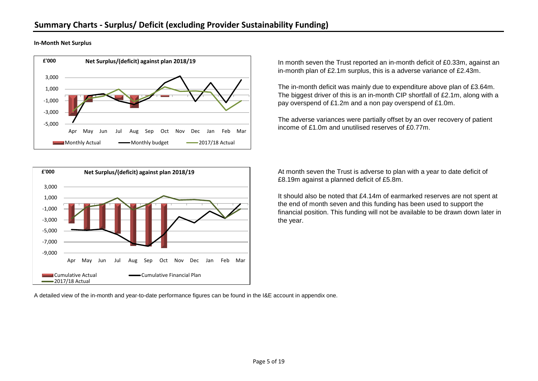**In-Month Net Surplus**





In month seven the Trust reported an in-month deficit of £0.33m, against an in-month plan of £2.1m surplus, this is a adverse variance of £2.43m.

The in-month deficit was mainly due to expenditure above plan of £3.64m. The biggest driver of this is an in-month CIP shortfall of £2.1m, along with a pay overspend of £1.2m and a non pay overspend of £1.0m.

The adverse variances were partially offset by an over recovery of patient income of £1.0m and unutilised reserves of £0.77m.

At month seven the Trust is adverse to plan with a year to date deficit of £8.19m against a planned deficit of £5.8m.

It should also be noted that £4.14m of earmarked reserves are not spent at the end of month seven and this funding has been used to support the financial position. This funding will not be available to be drawn down later in the year.

A detailed view of the in-month and year-to-date performance figures can be found in the I&E account in appendix one.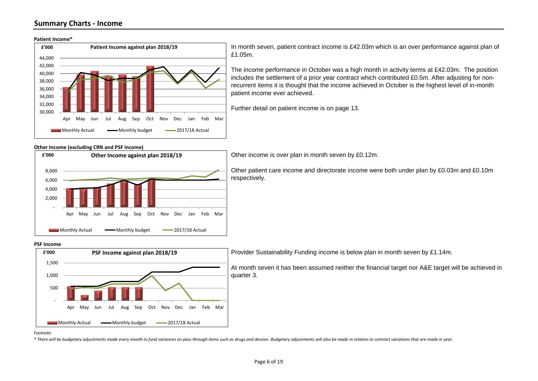### **Summary Charts - Income**





In month seven, patient contract income is £42.03m which is an over performance against plan of £1.05m.

The income performance in October was a high month in activity terms at £42.03m. The position includes the settlement of a prior year contract which contributed £0.5m. After adjusting for nonrecurrent items it is thought that the income achieved in October is the highest level of in-month patient income ever achieved.

Further detail on patient income is on page 13.

#### **Other Income (excluding CRN and PSF income)**



Other income is over plan in month seven by £0.12m.

Other patient care income and directorate income were both under plan by £0.03m and £0.10m respectively.

#### **PSF Income**



Provider Sustainability Funding income is below plan in month seven by £1.14m.

At month seven it has been assumed neither the financial target nor A&E target will be achieved in quarter 3.

*Footnote:* 

\* There will be budgetary adjustments made every month to fund variances on pass through items such as drugs and devices. Budgetary adjustments will also be made in relation to contract variations that are made in year.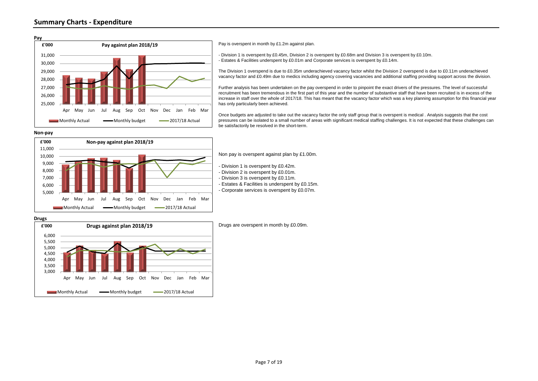

Pay is overspent in month by £1.2m against plan.

- Division 1 is overspent by £0.45m, Division 2 is overspent by £0.68m and Division 3 is overspent by £0.10m. - Estates & Facilities underspent by £0.01m and Corporate services is overspent by £0.14m.

The Division 1 overspend is due to £0.35m underachieved vacancy factor whilst the Division 2 overspend is due to £0.11m underachieved vacancy factor and £0.49m due to medics including agency covering vacancies and additional staffing providing support across the division.

Further analysis has been undertaken on the pay overspend in order to pinpoint the exact drivers of the pressures. The level of successful recruitment has been tremendous in the first part of this year and the number of substantive staff that have been recruited is in excess of the increase in staff over the whole of 2017/18. This has meant that the vacancy factor which was a key planning assumption for this financial year has only particularly been achieved.

Once budgets are adjusted to take out the vacancy factor the only staff group that is overspent is medical . Analysis suggests that the cost pressures can be isolated to a small number of areas with significant medical staffing challenges. It is not expected that these challenges can be satisfactorily be resolved in the short-term.

#### **Non-pay**



Non pay is overspent against plan by £1.00m.

- Division 1 is overspent by £0.42m.
- Division 2 is overspent by £0.01m.
- Division 3 is overspent by £0.11m.
- Estates & Facilities is underspent by £0.15m.
- Corporate services is overspent by £0.07m.

#### **Drugs**



Drugs are overspent in month by £0.09m.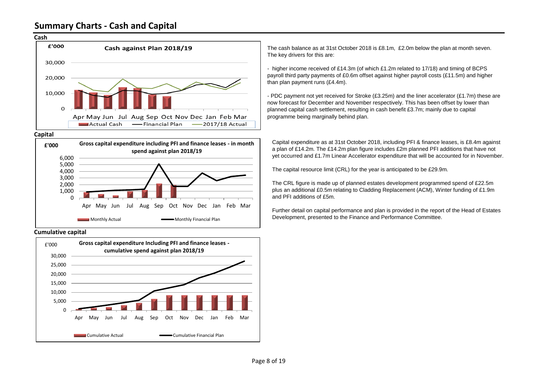## **Summary Charts - Cash and Capital**



#### **Capital**



#### **Cumulative capital**



The cash balance as at 31st October 2018 is £8.1m, £2.0m below the plan at month seven. The key drivers for this are:

- higher income received of £14.3m (of which £1.2m related to 17/18) and timing of BCPS payroll third party payments of £0.6m offset against higher payroll costs (£11.5m) and higher than plan payment runs (£4.4m).

- PDC payment not yet received for Stroke (£3.25m) and the liner accelerator (£1.7m) these are now forecast for December and November respectively. This has been offset by lower than planned capital cash settlement, resulting in cash benefit £3.7m; mainly due to capital programme being marginally behind plan.

Capital expenditure as at 31st October 2018, including PFI & finance leases, is £8.4m against a plan of £14.2m. The £14.2m plan figure includes £2m planned PFI additions that have not yet occurred and £1.7m Linear Accelerator expenditure that will be accounted for in November.

The capital resource limit (CRL) for the year is anticipated to be £29.9m.

The CRL figure is made up of planned estates development programmed spend of £22.5m plus an additional £0.5m relating to Cladding Replacement (ACM), Winter funding of £1.9m and PFI additions of £5m.

Further detail on capital performance and plan is provided in the report of the Head of Estates Development, presented to the Finance and Performance Committee.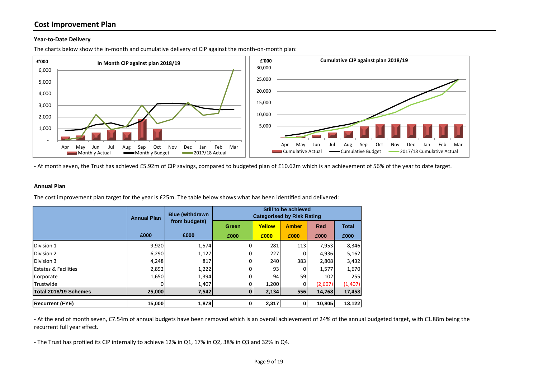## **Cost Improvement Plan**

#### **Year-to-Date Delivery**

 - 1,000 2,000 3,000 4,000 5,000 6,000 Apr May Jun Jul Aug Sep Oct Nov Dec Jan Feb Mar **£'000 In Month CIP against plan 2018/19**  $\blacksquare$  Monthly Actual  $\blacksquare$  Monthly Budget  $\blacksquare$  2017/18 Actual - 5,000 10,000 15,000 20,000 25,000 30,000 Apr May Jun Jul Aug Sep Oct Nov Dec Jan Feb Mar **£'000 Cumulative CIP against plan 2018/19** Cumulative Actual – Cumulative Budget – 2017/18 Cumulative Actual

The charts below show the in-month and cumulative delivery of CIP against the month-on-month plan:

- At month seven, the Trust has achieved £5.92m of CIP savings, compared to budgeted plan of £10.62m which is an achievement of 56% of the year to date target.

#### **Annual Plan**

The cost improvement plan target for the year is £25m. The table below shows what has been identified and delivered:

|                                 | <b>Annual Plan</b> | <b>Blue (withdrawn</b> |       | <b>Categorised by Risk Rating</b> | Still to be achieved |            |              |
|---------------------------------|--------------------|------------------------|-------|-----------------------------------|----------------------|------------|--------------|
|                                 |                    | from budgets)          | Green | Yellow                            | <b>Amber</b>         | <b>Red</b> | <b>Total</b> |
|                                 | £000               | £000                   | £000  | £000                              | £000                 | £000       | £000         |
| Division 1                      | 9,920              | 1,574                  |       | 281                               | 113                  | 7,953      | 8,346        |
| Division 2                      | 6,290              | 1,127                  |       | 227                               |                      | 4,936      | 5,162        |
| Division 3                      | 4,248              | 817                    |       | 240                               | 383                  | 2,808      | 3,432        |
| <b>Estates &amp; Facilities</b> | 2,892              | 1,222                  |       | 93                                |                      | 1,577      | 1,670        |
| Corporate                       | 1,650              | 1,394                  |       | 94                                | 59                   | 102        | 255          |
| Trustwide                       |                    | 1,407                  |       | 1,200                             |                      | (2,607)    | (1,407)      |
| Total 2018/19 Schemes           | 25,000             | 7,542                  | 01    | 2,134                             | 556                  | 14,768     | 17,458       |
| <b>Recurrent (FYE)</b>          | 15,000             | 1,878                  | 0     | 2,317                             | 0I                   | 10.805     | 13,122       |

- At the end of month seven, £7.54m of annual budgets have been removed which is an overall achievement of 24% of the annual budgeted target, with £1.88m being the recurrent full year effect.

- The Trust has profiled its CIP internally to achieve 12% in Q1, 17% in Q2, 38% in Q3 and 32% in Q4.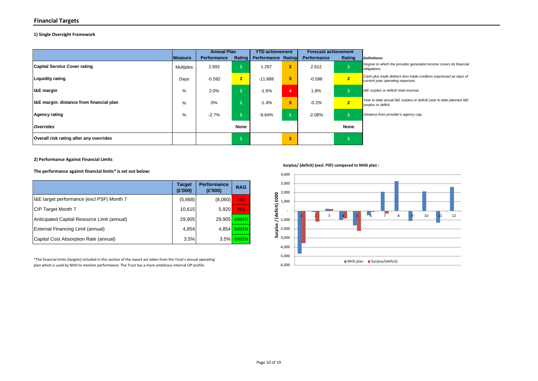#### **Financial Targets**

#### **1) Single Oversight Framework**

|                                          |                  | <b>Annual Plan</b> |                | <b>YTD achievement</b>    |    | <b>Forecast achievement</b> |                |                                                                                                       |
|------------------------------------------|------------------|--------------------|----------------|---------------------------|----|-----------------------------|----------------|-------------------------------------------------------------------------------------------------------|
|                                          | Measure          | <b>Performance</b> | Rating         | <b>Performance Rating</b> |    | <b>Performance</b>          | Rating         | Definitions:                                                                                          |
| <b>Capital Service Cover rating</b>      | <b>Multiples</b> | 2.693              |                | .297                      | 3  | 2.612                       |                | Degree to which the provider generated income covers its financial<br>obligations.                    |
| <b>Liquidity rating</b>                  | Days             | $-0.592$           | $\overline{2}$ | $-11.888$                 | 3  | $-0.598$                    | 2 <sup>1</sup> | Cash plus trade debtors less trade creditors expressed as days of<br>current year operating expenses. |
| <b>I&amp;E</b> margin                    | %                | 2.0%               |                | $-1.6%$                   | 4  | 1.8%                        |                | I&E surplus or deficit/ total revenue.                                                                |
| I&E margin: distance from financial plan | %                | 0%                 |                | $-1.4%$                   | 3  | $-0.2%$                     | 2 <sup>1</sup> | Year to date actual I&E surplus or deficit/ year to date planned I&E<br>surplus or deficit.           |
| <b>Agency rating</b>                     | %                | $-2.7%$            |                | $-9.64%$                  |    | $-2.08%$                    |                | Distance from provider's agency cap.                                                                  |
| <b>Overrides</b>                         |                  |                    | <b>None</b>    |                           |    |                             | None           |                                                                                                       |
| Overall risk rating after any overrides  |                  |                    |                |                           | З. |                             |                |                                                                                                       |

**2) Performance Against Financial Limits**

**The performance against financial limits\* is set out below:**

|                                             | <b>Target</b><br>(E'000) | <b>Performance</b><br>(E'000) | <b>RAG</b>   |
|---------------------------------------------|--------------------------|-------------------------------|--------------|
| I&E target performance (excl PSF) Month 7   | (5,668)                  | (8,060)                       | <b>RED</b>   |
| CIP Target Month 7                          | 10,615                   | 5,920                         | <b>RED</b>   |
| Anticipated Capital Resource Limit (annual) | 29,905                   | 29.905                        | <b>GREEN</b> |
| External Financing Limit (annual)           | 4,854                    | 4.854                         | <b>GREEN</b> |
| Capital Cost Absorption Rate (annual)       | 3.5%                     | 3.5%                          | <b>GREEN</b> |

\*The financial limits (targets) included in this section of the report are taken from the Trust's annual operating plan which is used by NHSI to monitor performance. The Trust has a more ambitious internal CIP profile.

**Surplus/ (deficit) (excl. PSF) compared to NHSI plan :**

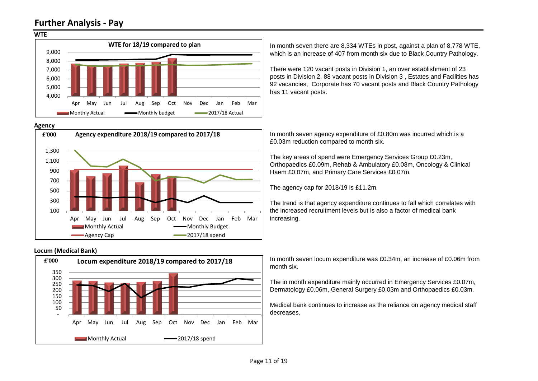## **Further Analysis - Pay**



#### **Agency**



#### **Locum (Medical Bank)**



In month seven there are 8,334 WTEs in post, against a plan of 8,778 WTE, which is an increase of 407 from month six due to Black Country Pathology.

There were 120 vacant posts in Division 1, an over establishment of 23 posts in Division 2, 88 vacant posts in Division 3 , Estates and Facilities has 92 vacancies, Corporate has 70 vacant posts and Black Country Pathology has 11 vacant posts.

In month seven agency expenditure of £0.80m was incurred which is a £0.03m reduction compared to month six.

The key areas of spend were Emergency Services Group £0.23m, Orthopaedics £0.09m, Rehab & Ambulatory £0.08m, Oncology & Clinical Haem £0.07m, and Primary Care Services £0.07m.

The agency cap for 2018/19 is £11.2m.

The trend is that agency expenditure continues to fall which correlates with the increased recruitment levels but is also a factor of medical bank increasing.

In month seven locum expenditure was £0.34m, an increase of £0.06m from month six.

The in month expenditure mainly occurred in Emergency Services £0.07m, Dermatology £0.06m, General Surgery £0.03m and Orthopaedics £0.03m.

Medical bank continues to increase as the reliance on agency medical staff decreases.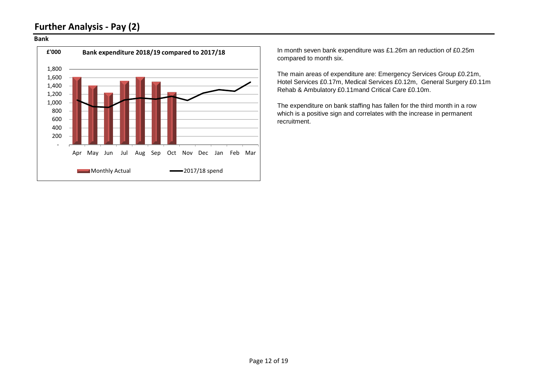## **Further Analysis - Pay (2)**

#### **Bank**



In month seven bank expenditure was £1.26m an reduction of £0.25m compared to month six.

The main areas of expenditure are: Emergency Services Group £0.21m, Hotel Services £0.17m, Medical Services £0.12m, General Surgery £0.11m Rehab & Ambulatory £0.11mand Critical Care £0.10m.

The expenditure on bank staffing has fallen for the third month in a row which is a positive sign and correlates with the increase in permanent recruitment.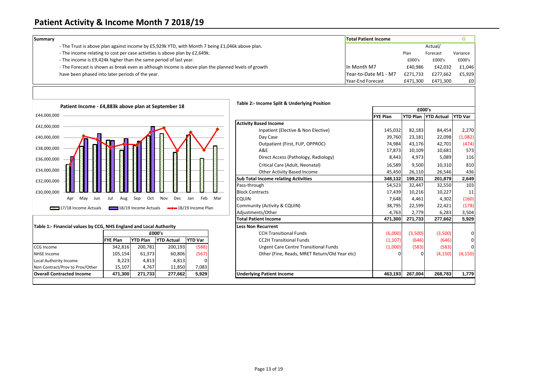## **Patient Activity & Income Month 7 2018/19**

| Summary |                                                                                                     | <b>Total Patient Income</b> |          |          |          |
|---------|-----------------------------------------------------------------------------------------------------|-----------------------------|----------|----------|----------|
|         | - The Trust is above plan against income by £5,929k YTD, with Month 7 being £1,046k above plan.     |                             |          | Actual/  |          |
|         | - The income relating to cost per case activities is above plan by £2,649k.                         |                             | Plan     | Forecast | Variance |
|         | - The income is £9,424k higher than the same period of last year.                                   |                             | £000's   | £000's   | £000's   |
|         | - The Forecast is shown as break even as although income is above plan the planned levels of growth | In Month M7                 | £40.986  | £42.032  | £1,046   |
|         | have been phased into later periods of the year.                                                    | Year-to-Date M1 - M7        | £271.733 | £277.662 | £5,929   |
|         |                                                                                                     | Year-End Forecast           | £471,300 | £471.300 | £0       |



#### **Table 1:- Financial values by CCG, NHS England and Local Authority**

| £000's          |  |                                                                     |                                                                                                   |  |  |  |
|-----------------|--|---------------------------------------------------------------------|---------------------------------------------------------------------------------------------------|--|--|--|
| <b>FYE Plan</b> |  | <b>YTD Actual</b>                                                   | <b>YTD Var</b>                                                                                    |  |  |  |
|                 |  |                                                                     | (588)                                                                                             |  |  |  |
|                 |  |                                                                     | (567)                                                                                             |  |  |  |
|                 |  |                                                                     |                                                                                                   |  |  |  |
|                 |  |                                                                     | 7,083                                                                                             |  |  |  |
|                 |  |                                                                     | 5,929                                                                                             |  |  |  |
|                 |  | <b>YTD Plan</b><br>342,816<br>105,154<br>8,223<br>15,107<br>471,300 | 200,193<br>200,781<br>61,373<br>60,806<br>4,813<br>4,813<br>4.767<br>11,850<br>271,733<br>277,662 |  |  |  |

| Patient Income - £4,883k above plan at September 18                |                       |     | Table 2:- Income Split & Underlying Position  |                 |                 |                   |                |
|--------------------------------------------------------------------|-----------------------|-----|-----------------------------------------------|-----------------|-----------------|-------------------|----------------|
|                                                                    |                       |     |                                               | £000's          |                 |                   |                |
| £44,000,000                                                        |                       |     |                                               | <b>FYE Plan</b> | <b>YTD Plan</b> | <b>YTD Actual</b> | <b>YTD Var</b> |
| £42,000,000                                                        |                       |     | <b>Activity Based Income</b>                  |                 |                 |                   |                |
|                                                                    |                       |     | Inpatient (Elective & Non Elective)           | 145,032         | 82,183          | 84,454            | 2,270          |
| £40,000,000                                                        |                       |     | Day Case                                      | 39,760          | 23,181          | 22,098            | (1,082)        |
|                                                                    |                       |     | Outpatient (First, FUP, OPPROC)               | 74,984          | 43,176          | 42,701            | (474)          |
| £38,000,000                                                        |                       |     | A&E                                           | 17,873          | 10,109          | 10,681            | 573            |
| £36,000,000                                                        |                       |     | Direct Access (Pathology, Radiology)          | 8,443           | 4,973           | 5,089             | 116            |
|                                                                    |                       |     | Critical Care (Adult, Neonatal)               | 16,589          | 9,500           | 10,310            | 810            |
| £34,000,000                                                        |                       |     | Other Activity Based Income                   | 45,450          | 26,110          | 26,546            | 436            |
| £32,000,000                                                        |                       |     | <b>Sub Total Income relating Activities</b>   | 348,132         | 199,231         | 201,879           | 2,649          |
|                                                                    |                       |     | Pass-through                                  | 54,523          | 32,447          | 32,550            | 103            |
| £30,000,000                                                        |                       |     | <b>Block Contracts</b>                        | 17,439          | 10,216          | 10,227            | 11             |
| Mav<br>Sep<br>Oct<br>Nov<br>Dec<br>Jun<br>Jul<br>Apr<br>Aug        | Feb<br>Jan            | Mar | <b>CQUIN</b>                                  | 7,648           | 4,461           | 4,302             | (160)          |
| 18/19 Income Actuals<br>17/18 Income Actuals                       | $-$ 18/19 Income Plan |     | Community (Activity & CQUIN)                  | 38,795          | 22,599          | 22,421            | (178)          |
|                                                                    |                       |     | Adjustments/Other                             | 4,763           | 2,779           | 6,283             | 3,504          |
|                                                                    |                       |     | <b>Total Patient Income</b>                   | 471.300         | 271,733         | 277,662           | 5,929          |
| Table 1:- Financial values by CCG, NHS England and Local Authority |                       |     | <b>Less Non Recurrent</b>                     |                 |                 |                   |                |
| £000's                                                             |                       |     | <b>CCH Transitional Funds</b>                 | (6,000)         | (3,500)         | (3,500)           | 0              |
| <b>YTD Plan</b><br><b>YTD Actual</b><br><b>FYE Plan</b>            | <b>YTD Var</b>        |     | <b>CC2H Transitional Funds</b>                | (1, 107)        | (646)           | (646)             | 0              |
| CCG Income<br>200,781<br>200,193<br>342,816                        | (588)                 |     | <b>Urgent Care Centre Transitional Funds</b>  | (1,000)         | (583)           | (583)             |                |
| 61,373<br>60,806<br><b>NHSE Income</b><br>105,154                  | (567)                 |     | Other (Fine, Reads, MRET Return/Old Year etc) |                 | U               | (4, 150)          | (4, 150)       |
| 4,813<br>4,813<br>8,223<br>Local Authority Income                  |                       |     |                                               |                 |                 |                   |                |
| 4,767<br>11,850<br>Non Contract/Prov to Prov/Other<br>15,107       | 7,083                 |     |                                               |                 |                 |                   |                |
| <b>Overall Contracted Income</b><br>471,300<br>271,733<br>277,662  | 5,929                 |     | <b>Underlying Patient Income</b>              | 463,193         | 267,004         | 268,783           | 1,779          |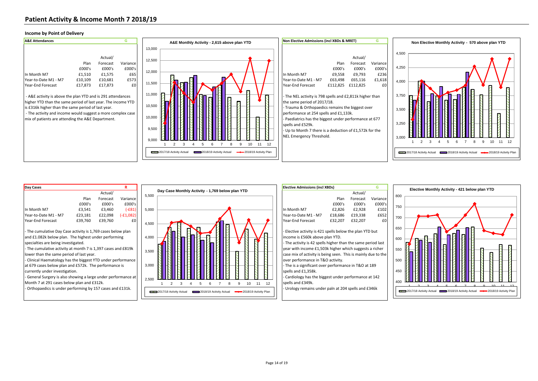#### **Income by Point of Delivery**





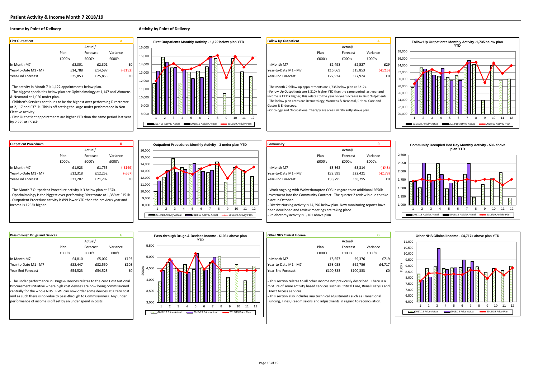#### **Income by Point of Delivery Activity by Point of Delivery Activity by Point of Delivery**

- The activity in Month 7 is 1,122 appointments below plan.

- The biggest specialties below plan are Ophthalmology at 1,147 and Womens & Neonatal at 1,050 under plan.

- Children's Services continues to be the highest over performing Directorate at 2,117 and £371k. This is off setting the large under perfomrance in Non Elective activity.

- First Outpatient appointments are higher YTD than the same period last year by 2,275 at £536k.



| <b>Follow Up Outpatient</b> |         |          | А               |
|-----------------------------|---------|----------|-----------------|
|                             |         | Actual/  |                 |
|                             | Plan    | Forecast | Variance        |
|                             | f000's  | f000's   | £000's          |
| In Month M7                 | £2,498  | £2,527   | f <sub>29</sub> |
| Year-to-Date M1 - M7        | £16,069 | £15,853  | $(-E216)$       |
| Year-End Forecast           | £27.924 | £27.924  | £C              |
|                             |         |          |                 |

- The Month 7 follow up appointments are 1,735 below plan at £217k. - Follow Up Outpatients are 3,310k higher YTD than the same period last year and ncome is £211k higher, this relates to the year on year increase in First Outpatients. - The below plan areas are Dermatology, Womens & Neonatal, Critical Care and Gastro & Endoscopy.

- Oncology and Occupational Therapy are areas significantly above plan.



| <b>Outpatient Procedures</b> |         |          | n            |                            | Community<br>Outpatient Procedures Monthly Activity - 3 under plan YTD |         |          |           |
|------------------------------|---------|----------|--------------|----------------------------|------------------------------------------------------------------------|---------|----------|-----------|
|                              |         | Actual/  |              | 16,000                     |                                                                        |         | Actual/  |           |
|                              | Plan    | Forecast | Variance     | 15,000                     |                                                                        | Plan    | Forecast | Variance  |
|                              | £000's  | £000's   | £000's       |                            |                                                                        | £000's  | £000's   | £000's    |
| In Month M7                  | £1,923  | £1,755   | <b>E169)</b> |                            | In Month M7<br>-                                                       | £3,362  | £3,314   | $[-648]$  |
| Year-to-Date M1 - M7         | £12,318 | £12,252  | $(-E67)$     |                            | Year-to-Date M1 - M7<br>╱                                              | £22,599 | £22,421  | $[-£178]$ |
| Year-End Forecast            | £21,207 | £21,207  | £0           | 12,000                     | Year-End Forecast                                                      | £38,795 | £38,795  | £C        |
|                              |         |          |              | 14,000<br>13,000<br>11.000 | -                                                                      |         |          |           |

The Month 7 Outpatient Procedure activity is 3 below plan at £67k. - Ophthalmology is the biggest over performing Directorate at 1,389 at £151k - Outpatient Procedure activity is 899 lower YTD than the previous year and income is £263k higher.



| Community                                                                                                                                                                 |         |          | R         |  |  |
|---------------------------------------------------------------------------------------------------------------------------------------------------------------------------|---------|----------|-----------|--|--|
|                                                                                                                                                                           |         | Actual/  |           |  |  |
|                                                                                                                                                                           | Plan    | Forecast | Variance  |  |  |
|                                                                                                                                                                           | £000's  | f000's   | f000's    |  |  |
| In Month M7                                                                                                                                                               | £3,362  | £3,314   | $(-E48)$  |  |  |
| Year-to-Date M1 - M7                                                                                                                                                      | £22,599 | £22,421  | $(-£178)$ |  |  |
| Year-End Forecast                                                                                                                                                         | £38.795 | £38.795  | £0        |  |  |
| - Work ongoing with Wolverhampton CCG in regard to an additional £650k<br>investment into the Community Contract. The quarter 2 review is due to take<br>nlace in October |         |          |           |  |  |

place in October. - District Nursing activity is 14,396 below plan. New monitoring reports have been developed and review meetings are taking place.

- Phlebotomy activity is 6,161 above plan



| <b>Pass-through Drugs and Devices</b> |         |          | G        |      |
|---------------------------------------|---------|----------|----------|------|
|                                       |         | Actual/  |          |      |
|                                       | Plan    | Forecast | Variance |      |
|                                       | £000's  | f000's   | f000's   |      |
| In Month M7                           | £4.810  | £5,002   |          | £193 |
| Year-to-Date M1 - M7                  | £32.447 | £32,550  |          | £103 |
| <b>Year-End Forecast</b>              | £54.523 | £54.523  |          | £0   |

- The under performance in Drugs & Devices relates to the Zero Cost National Procurement initiative where high cost devices are now being commissioned centrally for the whole NHS. RWT can now order some devices at a zero cost and as such there is no value to pass-through to Commissioners. Any under performance of income is off set by an under spend in costs.



| ther NHS Clinical Income |          |          | G        |
|--------------------------|----------|----------|----------|
|                          |          | Actual/  |          |
|                          | Plan     | Forecast | Variance |
|                          | £000's   | £000's   | £000's   |
| Month M7                 | £8.657   | £9.376   | £719     |
| ear-to-Date M1 - M7      | £58,038  | £62,756  | £4,717   |
| ear-End Forecast         | £100.333 | £100,333 | £0       |

- This section relates to all other income not previously described. There is a mixture of some activity based services such as Critical Care, Renal Dialysis and Direct Access services.

- This section also includes any technical adjustments such as Transitional Funding, Fines, Readmissions and adjustments in regard to reconciliation.

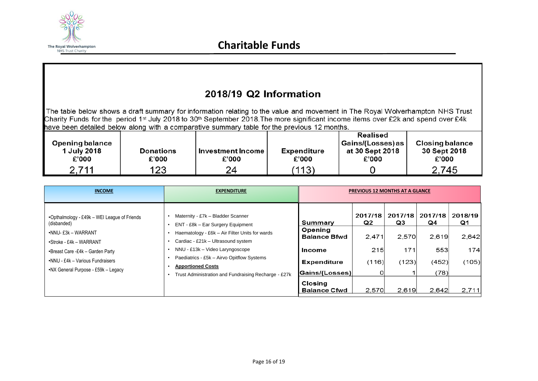

#### 2018/19 Q2 Information The table below shows a draft summary for information relating to the value and movement in The Royal Wolverhampton NHS Trust Charity Funds for the period 1<sup>st</sup> July 2018 to 30<sup>th</sup> September 2018. The more significant income items over £2k and spend over £4k have been detailed below along with a comparative summary table for the previous 12 months. Realised Opening balance Gains/(Losses) as **Closing balance** 1 July 2018 **Donations Expenditure** at 30 Sept 2018 30 Sept 2018 Investment Income  $E'000$ £'000 £'000 £'000 £'000  $£'000$ 2,711 123 24  $(113)$ 2.745

 $\mathbf 0$ 

| <b>INCOME</b>                                                           | <b>EXPENDITURE</b>                                                                                                                  |                                       | <b>PREVIOUS 12 MONTHS AT A GLANCE</b> |               |               |               |
|-------------------------------------------------------------------------|-------------------------------------------------------------------------------------------------------------------------------------|---------------------------------------|---------------------------------------|---------------|---------------|---------------|
| •Opthalmology - £49k - WEI League of Friends<br>(disbanded)             | Maternity - £7k - Bladder Scanner<br>ENT - £8k - Ear Surgery Equipment                                                              | Summary                               | 2017/18<br>Q2                         | 2017/18<br>Q3 | 2017/18<br>Q4 | 2018/19<br>Q1 |
| •NNU- £3k – WARRANT<br>$\cdot$ Stroke - £4k – WARRANT                   | Haematology - £6k - Air Filter Units for wards<br>Cardiac - £21k - Ultrasound system<br>٠                                           | Opening<br><b>Balance Bfwd</b>        | 2.471                                 | 2,570         | 2,619         | 2,642         |
| •Breast Care -£4k - Garden Party                                        | NNU - £13k - Video Laryngoscope<br>$\bullet$<br>٠                                                                                   | Income                                | 215                                   | 171           | 553           | 174           |
| •NNU - £4k - Various Fundraisers<br>•NX General Purpose - £59k - Legacy | Paediatrics - £5k - Airvo Opitflow Systems<br><b>Apportioned Costs</b><br>Trust Administration and Fundraising Recharge - £27k<br>٠ | <b>Expenditure</b><br> Gains/(Losses) | (116)                                 | (123)         | (452)<br>(78) | (105)         |
|                                                                         |                                                                                                                                     | <b>Closing</b><br><b>Balance Cfwd</b> | 2,570                                 | 2.619         | 2,642         | 2,711         |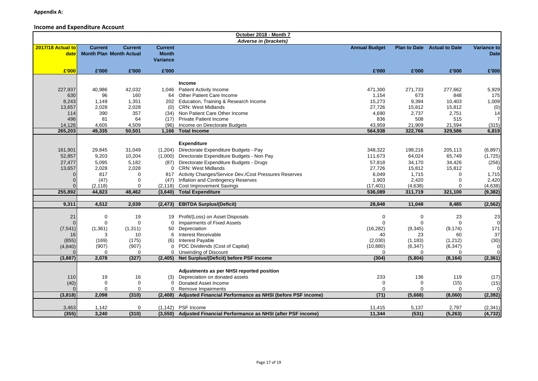#### **Income and Expenditure Account**

|                           |                   |                                                  |                                                   | October 2018 - Month 7                                     |                      |                |                                    |                            |
|---------------------------|-------------------|--------------------------------------------------|---------------------------------------------------|------------------------------------------------------------|----------------------|----------------|------------------------------------|----------------------------|
| 2017/18 Actual to<br>date | <b>Current</b>    | <b>Current</b><br><b>Month Plan Month Actual</b> | <b>Current</b><br><b>Month</b><br><b>Variance</b> | Adverse in (brackets)                                      | <b>Annual Budget</b> |                | <b>Plan to Date</b> Actual to Date | Variance to<br><b>Date</b> |
| £'000                     | £'000             | £'000                                            | £'000                                             |                                                            | £'000                | £'000          | £'000                              | £'000                      |
|                           |                   |                                                  |                                                   |                                                            |                      |                |                                    |                            |
|                           |                   |                                                  |                                                   | <b>Income</b>                                              |                      |                |                                    |                            |
| 227,937                   | 40,986            | 42,032                                           |                                                   | 1,046 Patient Activity Income                              | 471,300              | 271,733        | 277,662                            | 5,929                      |
| 630                       | 96                | 160                                              |                                                   | 64 Other Patient Care Income                               | 1,154                | 673            | 848                                | 175                        |
| 8,243                     | 1,149             | 1,351                                            |                                                   | 202 Education, Training & Research Income                  | 15,273               | 9,394          | 10,403                             | 1,009                      |
| 13,657                    | 2,028             | 2,028                                            | (0)                                               | <b>CRN: West Midlands</b>                                  | 27,726               | 15,812         | 15,812                             | (0)                        |
| 114                       | 390               | 357                                              |                                                   | (34) Non Patient Care Other Income                         | 4,690                | 2,737          | 2,751                              | 14                         |
| 496                       | 81                | 64                                               | (17)                                              | <b>Private Patient Income</b>                              | 836                  | 508            | 515                                |                            |
| 14,126                    | 4,605             | 4,509                                            | (96)                                              | Income on Directorate Budgets                              | 43,959               | 21,909         | 21,594                             | (315)                      |
| 265,203                   | 49,335            | 50,501                                           | 1,166                                             | <b>Total Income</b>                                        | 564,938              | 322,766        | 329,586                            | 6,819                      |
|                           |                   |                                                  |                                                   |                                                            |                      |                |                                    |                            |
|                           |                   |                                                  |                                                   | <b>Expenditure</b>                                         |                      |                |                                    |                            |
| 161,901                   | 29,845            | 31,049                                           |                                                   | (1,204) Directorate Expenditure Budgets - Pay              | 348,322              | 198,216        | 205,113                            | (6, 897)                   |
| 52,857                    | 9,203             | 10,204                                           |                                                   | (1,000) Directorate Expenditure Budgets - Non Pay          | 111,673              | 64,024         | 65,749                             | (1,725)                    |
| 27,477                    | 5,095             | 5,182                                            |                                                   | (87) Directorate Expenditure Budgets - Drugs               | 57,818               | 34,170         | 34,426                             | (256)                      |
| 13,657                    | 2,028             | 2,028                                            |                                                   | 0 CRN: West Midlands                                       | 27,726               | 15,812         | 15,812                             |                            |
|                           | 817               | $\Omega$                                         |                                                   | 817 Activity Changes/Service Dev./Cost Pressures Reserves  | 6,049                | 1,715          | $\Omega$                           | 1,715                      |
|                           | (47)              | $\mathbf 0$                                      |                                                   | (47) Inflation and Contingency Reserves                    | 1,903                | 2,420          | $\Omega$                           | 2,420                      |
|                           | (2, 118)          | $\mathbf 0$                                      | (2, 118)                                          | <b>Cost Improvement Savings</b>                            | (17, 401)            | (4,638)        | $\Omega$                           | (4,638)                    |
| 255,892                   | 44,823            | 48,462                                           | (3,640)                                           | <b>Total Expenditure</b>                                   | 536,089              | 311,719        | 321,100                            | (9, 382)                   |
|                           |                   |                                                  |                                                   |                                                            |                      |                |                                    |                            |
| 9,311                     | 4,512             | 2,039                                            | (2, 473)                                          | <b>EBITDA Surplus/(Deficit)</b>                            | 28,848               | 11,048         | 8,485                              | (2, 562)                   |
| 21                        | $\Omega$          | 19                                               |                                                   | 19 Profit/(Loss) on Asset Disposals                        | $\mathbf 0$          | $\mathbf 0$    | 23                                 | 23                         |
|                           | $\Omega$          | $\mathbf 0$                                      | 0                                                 | Impairments of Fixed Assets                                | $\Omega$             | $\Omega$       | $\Omega$                           |                            |
|                           |                   |                                                  |                                                   | Depreciation                                               |                      |                |                                    |                            |
| (7, 541)                  | (1, 361)<br>3     | (1,311)<br>10                                    | 50<br>6                                           | Interest Receivable                                        | (16, 282)<br>40      | (9, 345)<br>23 | (9, 174)<br>60                     | 171<br>37                  |
| 16                        |                   |                                                  |                                                   |                                                            |                      |                |                                    |                            |
| (855)                     | (169)             | (175)                                            | (6)                                               | <b>Interest Payable</b>                                    | (2,030)              | (1, 183)       | (1,212)                            | (30)                       |
| (4, 840)                  | (907)             | (907)                                            |                                                   | 0 PDC Dividends (Cost of Capital)                          | (10, 880)            | (6, 347)       | (6, 347)                           | $\Omega$                   |
| (3,887)                   | $\Omega$<br>2,078 | $\mathbf 0$                                      |                                                   | 0 Unwinding of Discount                                    | $\Omega$<br>(304)    | 0              | 0                                  |                            |
|                           |                   | (327)                                            |                                                   | (2,405) Net Surplus/(Deficit) before PSF income            |                      | (5,804)        | (8, 164)                           | (2, 361)                   |
|                           |                   |                                                  |                                                   | Adjustments as per NHSI reported position                  |                      |                |                                    |                            |
| 110                       | 19                | 16                                               |                                                   | (3) Depreciation on donated assets                         | 233                  | 136            | 119                                | (17)                       |
| (40)                      | $\Omega$          | $\mathbf 0$                                      | 0                                                 | Donated Asset Income                                       | $\mathbf 0$          | 0              | (15)                               | (15)                       |
|                           | $\Omega$          | $\mathbf 0$                                      | $\Omega$                                          | Remove Impairments                                         | $\mathbf 0$          | 0              | $\Omega$                           |                            |
| (3,818)                   | 2,098             | (310)                                            | (2,408)                                           | Adjusted Financial Performance as NHSI (before PSF income) | (71)                 | (5,668)        | (8,060)                            | (2, 392)                   |
|                           |                   |                                                  |                                                   |                                                            |                      |                |                                    |                            |
| 3,463                     | 1,142             | 0                                                | (1, 142)                                          | PSF Income                                                 | 11,415               | 5,137          | 2,797                              | (2, 341)                   |
| (355)                     | 3,240             | (310)                                            | (3, 550)                                          | Adjusted Financial Performance as NHSI (after PSF income)  | 11,344               | (531)          | (5, 263)                           | (4, 732)                   |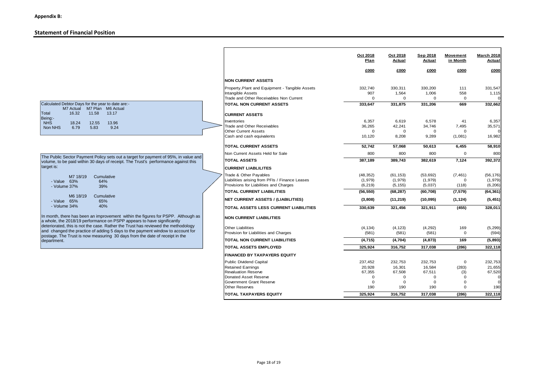#### **Statement of Financial Position**

| Calculated Debtor Days for the year to date are:- |                             |       |       |  |  |  |
|---------------------------------------------------|-----------------------------|-------|-------|--|--|--|
|                                                   | M7 Actual M7 Plan M6 Actual |       |       |  |  |  |
| Total                                             | 16.32                       | 11.58 | 13.17 |  |  |  |
| Being:-                                           |                             |       |       |  |  |  |
| <b>NHS</b>                                        | 18.24                       | 12.55 | 13.96 |  |  |  |
| Non NHS                                           | 6.79                        | 5.83  | 9.24  |  |  |  |

| The Public Sector Payment Policy sets out a target for payment of 95%, in value and |
|-------------------------------------------------------------------------------------|
| volume, to be paid within 30 days of receipt. The Trust's performance against this  |
| target is:                                                                          |

| - Value I<br>$-$ Volume 37% | M7 18/19<br>63%  | Cumulative<br>64%<br>39% |
|-----------------------------|------------------|--------------------------|
| مسافات                      | M6 18/19<br>650/ | Cumulative<br>650/       |

| $-$ Value $-65\%$ | 65% |
|-------------------|-----|
| $-$ Volume 34%    | 40% |

In month, there has been an improvement within the figures for PSPP. Although as<br>a whole, the 2018/19 performance on PSPP appears to have significantly<br>deteriorated, this is not the case. Rather the Trust has reviewed the

|                                                   | Oct 2018<br>Plan | Oct 2018<br>Actual         | Sep 2018<br>Actual         | <b>Movement</b><br>in Month | <b>March 2018</b><br>Actual |
|---------------------------------------------------|------------------|----------------------------|----------------------------|-----------------------------|-----------------------------|
|                                                   | £000             | £000                       | £000                       | £000                        | £000                        |
|                                                   |                  |                            |                            |                             |                             |
| <b>NON CURRENT ASSETS</b>                         |                  |                            |                            |                             |                             |
| Property, Plant and Equipment - Tangible Assets   | 332,740          | 330,311                    | 330,200                    | 111                         | 331,547                     |
| Intangible Assets                                 | 907              | 1,564                      | 1,006                      | 558                         | 1,115                       |
| Trade and Other Receivables Non Current           | $\Omega$         | $\Omega$                   | $\Omega$                   | $\Omega$                    |                             |
| <b>TOTAL NON CURRENT ASSETS</b>                   | 333,647          | 331.875                    | 331.206                    | 669                         | 332,662                     |
| <b>CURRENT ASSETS</b>                             |                  |                            |                            |                             |                             |
| Inventories                                       | 6,357            | 6,619                      | 6,578                      | 41                          | 6,357                       |
| Trade and Other Receivables                       | 36.265           | 42.241                     | 34.746                     | 7.495                       | 35,571                      |
| <b>Other Current Assets</b>                       | $\Omega$         | $\Omega$                   | $\Omega$                   | $\Omega$                    |                             |
| Cash and cash equivalents                         | 10,120           | 8.208                      | 9.289                      | (1,081)                     | 16,982                      |
| <b>TOTAL CURRENT ASSETS</b>                       | 52.742           | 57.068                     | 50.613                     | 6.455                       | 58,910                      |
| Non Current Assets Held for Sale                  | 800              | 800                        | 800                        | $\mathbf 0$                 | 800                         |
| <b>TOTAL ASSETS</b>                               | 387,189          | 389,743                    | 382,619                    | 7,124                       | 392,372                     |
| <b>CURRENT LIABLILITES</b>                        |                  |                            |                            |                             |                             |
| Trade & Other Payables                            | (48, 352)        | (61, 153)                  | (53, 692)                  | (7, 461)                    | (56, 176)                   |
| Liabilities arising from PFIs / Finance Leases    | (1,979)          | (1,979)                    | (1,979)                    | $\Omega$                    | (1,979)                     |
| Provisions for Liabilities and Charges            | (6, 219)         | (5, 155)                   | (5,037)                    | (118)                       | (6, 206)                    |
| <b>TOTAL CURRENT LIABILITIES</b>                  | (56, 550)        | (68, 287)                  | (60, 708)                  | (7, 579)                    | (64, 361)                   |
| <b>NET CURRENT ASSETS / (LIABILITIES)</b>         | (3,808)          | (11, 219)                  | (10,095)                   | (1, 124)                    | (5, 451)                    |
| TOTAL ASSETS LESS CURRENT LIABILITIES             | 330,639          | 321,456                    | 321,911                    | (455)                       | 328,011                     |
| <b>NON CURRENT LIABILITIES</b>                    |                  |                            |                            |                             |                             |
| <b>Other Liabilities</b>                          | (4, 134)         | (4, 123)                   | (4, 292)                   | 169                         | (5, 299)                    |
| Provision for Liabilities and Charges             | (581)            | (581)                      | (581)                      | 0                           | (594)                       |
| <b>TOTAL NON CURRENT LIABILITIES</b>              | (4, 715)         | (4, 704)                   | (4, 873)                   | 169                         | (5,893)                     |
| <b>TOTAL ASSETS EMPLOYED</b>                      | 325,924          | 316,752                    | 317,038                    | (286)                       | 322,118                     |
| <b>FINANCED BY TAXPAYERS EQUITY</b>               |                  |                            |                            |                             |                             |
| <b>Public Dividend Capital</b>                    | 237,452          | 232.753                    | 232,753                    | $\mathbf 0$                 | 232,753                     |
| <b>Retained Earnings</b>                          | 20,928           | 16,301                     | 16.584                     | (283)                       | 21,655                      |
| <b>Revaluation Reserve</b>                        | 67,355           | 67,508                     | 67,511                     | (3)                         | 67,520                      |
| Donated Asset Reserve<br>Government Grant Reserve | 0<br>$\Omega$    | $\mathbf 0$<br>$\mathbf 0$ | $\mathbf 0$<br>$\mathbf 0$ | $\Omega$<br>$\mathbf 0$     | $\Omega$                    |
| <b>Other Reserves</b>                             | 190              | 190                        | 190                        | $\Omega$                    | 190                         |
| <b>TOTAL TAXPAYERS EQUITY</b>                     | 325,924          | 316,752                    | 317.038                    | (286)                       | 322,118                     |